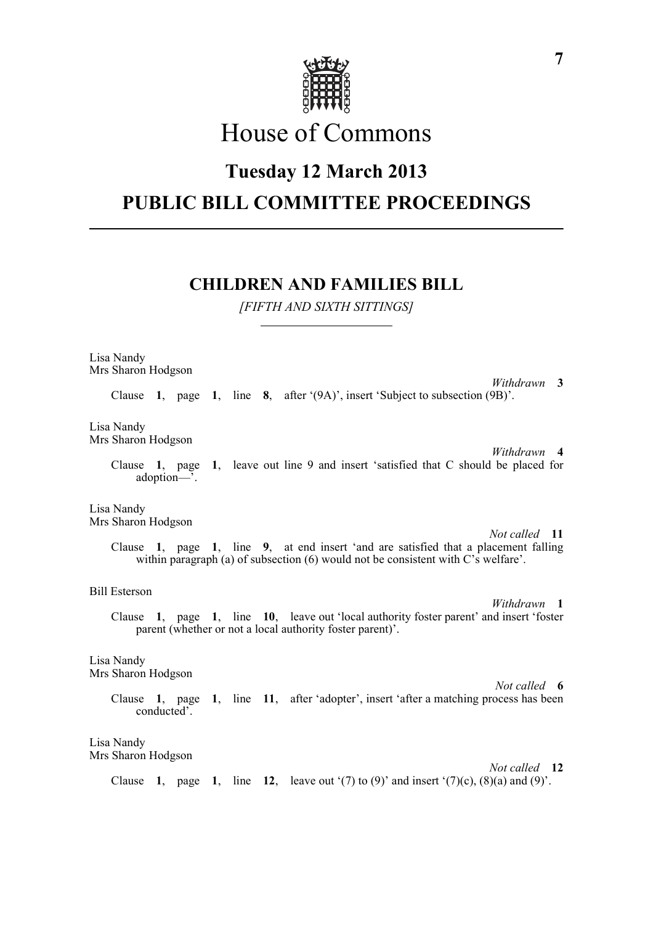

# House of Commons

## **Tuesday 12 March 2013**

# **PUBLIC BILL COMMITTEE PROCEEDINGS**

### **CHILDREN AND FAMILIES BILL**

*[FIFTH AND SIXTH SITTINGS]*

Lisa Nandy Mrs Sharon Hodgson

*Withdrawn* **3** Clause **1**, page **1**, line **8**, after '(9A)', insert 'Subject to subsection (9B)'.

Lisa Nandy Mrs Sharon Hodgson

> *Withdrawn* **4** Clause **1**, page **1**, leave out line 9 and insert 'satisfied that C should be placed for adoption—'.

Lisa Nandy Mrs Sharon Hodgson

*Not called* **11** Clause **1**, page **1**, line **9**, at end insert 'and are satisfied that a placement falling within paragraph (a) of subsection (6) would not be consistent with C's welfare'.

#### Bill Esterson

*Withdrawn* **1** Clause **1**, page **1**, line **10**, leave out 'local authority foster parent' and insert 'foster parent (whether or not a local authority foster parent)'.

#### Lisa Nandy

Mrs Sharon Hodgson

*Not called* **6** Clause **1**, page **1**, line **11**, after 'adopter', insert 'after a matching process has been conducted'.

Lisa Nandy Mrs Sharon Hodgson

*Not called* **12** Clause **1**, page **1**, line **12**, leave out '(7) to (9)' and insert '(7)(c), (8)(a) and (9)'.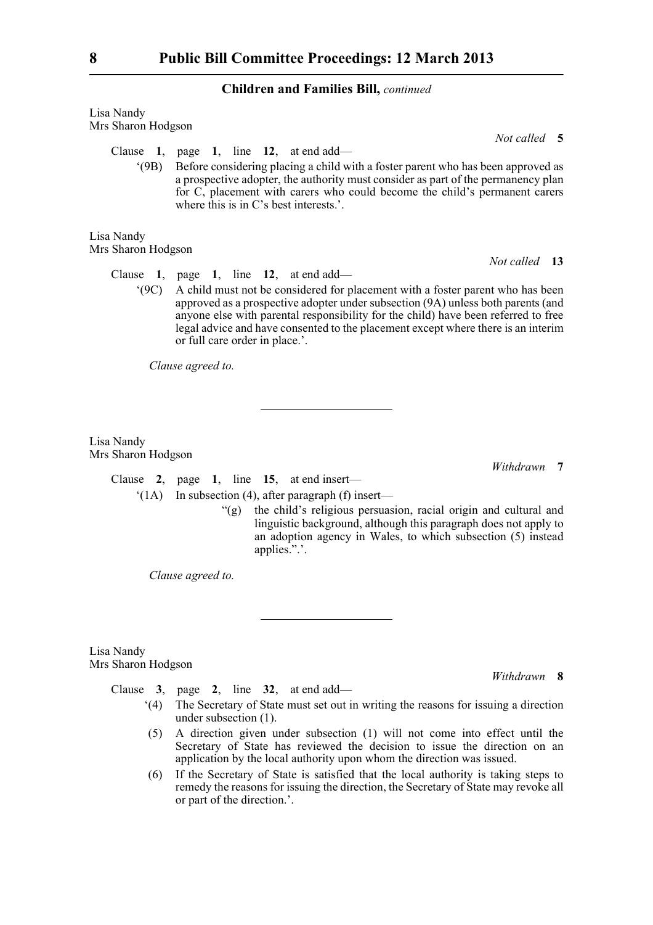#### **Children and Families Bill,** *continued*

| Lisa Nandy         |  |
|--------------------|--|
| Mrs Sharon Hodgson |  |
|                    |  |

Clause **1**, page **1**, line **12**, at end add—

'(9B) Before considering placing a child with a foster parent who has been approved as a prospective adopter, the authority must consider as part of the permanency plan for C, placement with carers who could become the child's permanent carers where this is in C's best interests.'.

Lisa Nandy Mrs Sharon Hodgson

*Not called* **13**

*Not called* **5**

Clause **1**, page **1**, line **12**, at end add—

'(9C) A child must not be considered for placement with a foster parent who has been approved as a prospective adopter under subsection (9A) unless both parents (and anyone else with parental responsibility for the child) have been referred to free legal advice and have consented to the placement except where there is an interim or full care order in place.'.

*Clause agreed to.*

Lisa Nandy Mrs Sharon Hodgson

*Withdrawn* **7**

*Withdrawn* **8**

Clause **2**, page **1**, line **15**, at end insert—

'(1A) In subsection (4), after paragraph (f) insert—

"(g) the child's religious persuasion, racial origin and cultural and linguistic background, although this paragraph does not apply to an adoption agency in Wales, to which subsection (5) instead applies.".'.

*Clause agreed to.*

Lisa Nandy Mrs Sharon Hodgson

Clause **3**, page **2**, line **32**, at end add—

- '(4) The Secretary of State must set out in writing the reasons for issuing a direction under subsection (1).
- (5) A direction given under subsection (1) will not come into effect until the Secretary of State has reviewed the decision to issue the direction on an application by the local authority upon whom the direction was issued.
- (6) If the Secretary of State is satisfied that the local authority is taking steps to remedy the reasons for issuing the direction, the Secretary of State may revoke all or part of the direction.'.